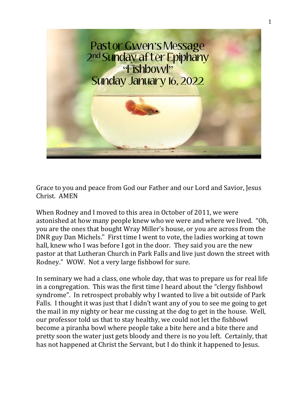

Grace to you and peace from God our Father and our Lord and Savior, Jesus Christ. AMEN

When Rodney and I moved to this area in October of 2011, we were astonished at how many people knew who we were and where we lived. "Oh, you are the ones that bought Wray Miller's house, or you are across from the DNR guy Dan Michels." First time I went to vote, the ladies working at town hall, knew who I was before I got in the door. They said you are the new pastor at that Lutheran Church in Park Falls and live just down the street with Rodney." WOW. Not a very large fishbowl for sure.

In seminary we had a class, one whole day, that was to prepare us for real life in a congregation. This was the first time I heard about the "clergy fishbowl syndrome". In retrospect probably why I wanted to live a bit outside of Park Falls. I thought it was just that I didn't want any of you to see me going to get the mail in my nighty or hear me cussing at the dog to get in the house. Well, our professor told us that to stay healthy, we could not let the fishbowl become a piranha bowl where people take a bite here and a bite there and pretty soon the water just gets bloody and there is no you left. Certainly, that has not happened at Christ the Servant, but I do think it happened to Jesus.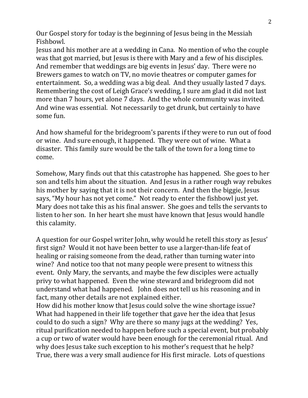Our Gospel story for today is the beginning of Jesus being in the Messiah Fishbowl.

Jesus and his mother are at a wedding in Cana. No mention of who the couple was that got married, but Jesus is there with Mary and a few of his disciples. And remember that weddings are big events in Jesus' day. There were no Brewers games to watch on TV, no movie theatres or computer games for entertainment. So, a wedding was a big deal. And they usually lasted 7 days. Remembering the cost of Leigh Grace's wedding, I sure am glad it did not last more than 7 hours, yet alone 7 days. And the whole community was invited. And wine was essential. Not necessarily to get drunk, but certainly to have some fun.

And how shameful for the bridegroom's parents if they were to run out of food or wine. And sure enough, it happened. They were out of wine. What a disaster. This family sure would be the talk of the town for a long time to come.

Somehow, Mary finds out that this catastrophe has happened. She goes to her son and tells him about the situation. And Jesus in a rather rough way rebukes his mother by saying that it is not their concern. And then the biggie, Jesus says, "My hour has not yet come." Not ready to enter the fishbowl just yet. Mary does not take this as his final answer. She goes and tells the servants to listen to her son. In her heart she must have known that Jesus would handle this calamity.

A question for our Gospel writer John, why would he retell this story as Jesus' first sign? Would it not have been better to use a larger-than-life feat of healing or raising someone from the dead, rather than turning water into wine? And notice too that not many people were present to witness this event. Only Mary, the servants, and maybe the few disciples were actually privy to what happened. Even the wine steward and bridegroom did not understand what had happened. John does not tell us his reasoning and in fact, many other details are not explained either.

How did his mother know that Jesus could solve the wine shortage issue? What had happened in their life together that gave her the idea that Jesus could to do such a sign? Why are there so many jugs at the wedding? Yes, ritual purification needed to happen before such a special event, but probably a cup or two of water would have been enough for the ceremonial ritual. And why does Jesus take such exception to his mother's request that he help? True, there was a very small audience for His first miracle. Lots of questions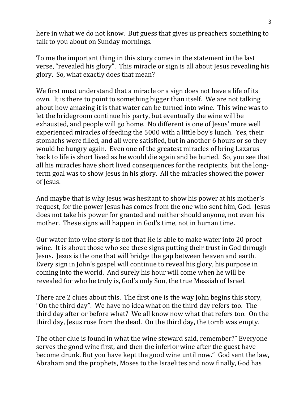here in what we do not know. But guess that gives us preachers something to talk to you about on Sunday mornings.

To me the important thing in this story comes in the statement in the last verse, "revealed his glory". This miracle or sign is all about Jesus revealing his glory. So, what exactly does that mean?

We first must understand that a miracle or a sign does not have a life of its own. It is there to point to something bigger than itself. We are not talking about how amazing it is that water can be turned into wine. This wine was to let the bridegroom continue his party, but eventually the wine will be exhausted, and people will go home. No different is one of Jesus' more well experienced miracles of feeding the 5000 with a little boy's lunch. Yes, their stomachs were filled, and all were satisfied, but in another 6 hours or so they would be hungry again. Even one of the greatest miracles of bring Lazarus back to life is short lived as he would die again and be buried. So, you see that all his miracles have short lived consequences for the recipients, but the longterm goal was to show Jesus in his glory. All the miracles showed the power of Jesus.

And maybe that is why Jesus was hesitant to show his power at his mother's request, for the power Jesus has comes from the one who sent him, God. Jesus does not take his power for granted and neither should anyone, not even his mother. These signs will happen in God's time, not in human time.

Our water into wine story is not that He is able to make water into 20 proof wine. It is about those who see these signs putting their trust in God through Jesus. Jesus is the one that will bridge the gap between heaven and earth. Every sign in John's gospel will continue to reveal his glory, his purpose in coming into the world. And surely his hour will come when he will be revealed for who he truly is, God's only Son, the true Messiah of Israel.

There are 2 clues about this. The first one is the way John begins this story, "On the third day". We have no idea what on the third day refers too. The third day after or before what? We all know now what that refers too. On the third day, Jesus rose from the dead. On the third day, the tomb was empty.

The other clue is found in what the wine steward said, remember?" Everyone serves the good wine first, and then the inferior wine after the guest have become drunk. But you have kept the good wine until now." God sent the law, Abraham and the prophets, Moses to the Israelites and now finally, God has